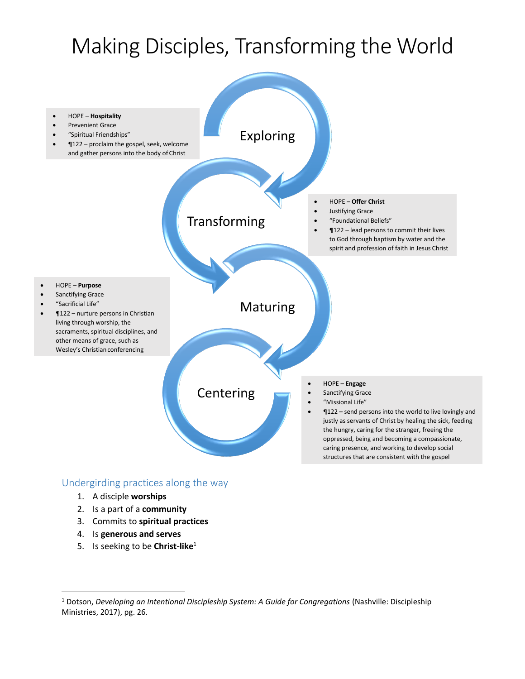# Making Disciples, Transforming the World



#### Undergirding practices along the way

- 1. A disciple **worships**
- 2. Is a part of a **community**
- 3. Commits to **spiritual practices**
- 4. Is **generous and serves**

 $\overline{a}$ 

5. Is seeking to be **Christ-like**<sup>1</sup>

<sup>1</sup> Dotson, *Developing an Intentional Discipleship System: A Guide for Congregations* (Nashville: Discipleship Ministries, 2017), pg. 26.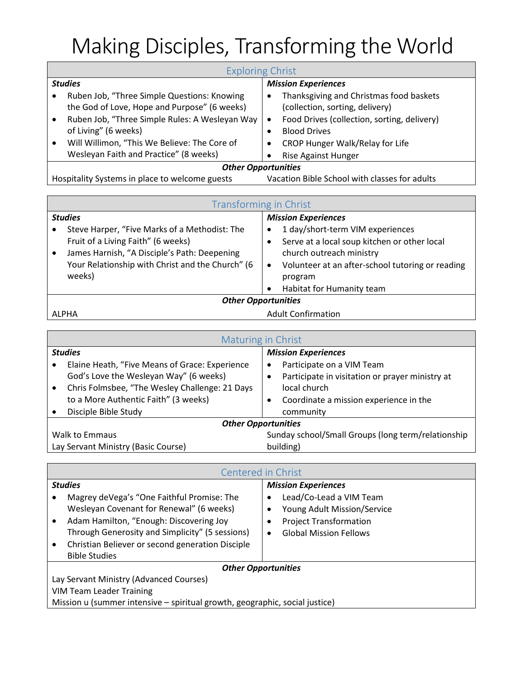# Making Disciples, Transforming the World

| <b>Exploring Christ</b>    |                                                                                             |                            |                                                                            |  |
|----------------------------|---------------------------------------------------------------------------------------------|----------------------------|----------------------------------------------------------------------------|--|
| <b>Studies</b>             |                                                                                             | <b>Mission Experiences</b> |                                                                            |  |
|                            | Ruben Job, "Three Simple Questions: Knowing<br>the God of Love, Hope and Purpose" (6 weeks) | $\bullet$                  | Thanksgiving and Christmas food baskets<br>(collection, sorting, delivery) |  |
|                            | Ruben Job, "Three Simple Rules: A Wesleyan Way<br>of Living" (6 weeks)                      |                            | Food Drives (collection, sorting, delivery)<br><b>Blood Drives</b>         |  |
|                            | Will Willimon, "This We Believe: The Core of<br>Wesleyan Faith and Practice" (8 weeks)      |                            | CROP Hunger Walk/Relay for Life<br><b>Rise Against Hunger</b>              |  |
| <b>Other Opportunities</b> |                                                                                             |                            |                                                                            |  |

| Hospitality Systems in place to welcome guests |  |  | Vacation Bible School with classes for adults |
|------------------------------------------------|--|--|-----------------------------------------------|
|                                                |  |  |                                               |
|                                                |  |  |                                               |

| Transforming in Christ     |                                                  |                            |                                                  |  |
|----------------------------|--------------------------------------------------|----------------------------|--------------------------------------------------|--|
| <b>Studies</b>             |                                                  | <b>Mission Experiences</b> |                                                  |  |
|                            | Steve Harper, "Five Marks of a Methodist: The    | ٠                          | 1 day/short-term VIM experiences                 |  |
|                            | Fruit of a Living Faith" (6 weeks)               |                            | Serve at a local soup kitchen or other local     |  |
|                            | James Harnish, "A Disciple's Path: Deepening     |                            | church outreach ministry                         |  |
|                            | Your Relationship with Christ and the Church" (6 | ٠                          | Volunteer at an after-school tutoring or reading |  |
|                            | weeks)                                           |                            | program                                          |  |
|                            |                                                  | $\bullet$                  | Habitat for Humanity team                        |  |
| <b>Other Opportunities</b> |                                                  |                            |                                                  |  |
| ALPHA                      |                                                  | <b>Adult Confirmation</b>  |                                                  |  |

┓

|                                     | Maturing in Christ                             |                                                    |                                                 |  |
|-------------------------------------|------------------------------------------------|----------------------------------------------------|-------------------------------------------------|--|
| <b>Studies</b>                      |                                                | <b>Mission Experiences</b>                         |                                                 |  |
|                                     | Elaine Heath, "Five Means of Grace: Experience | ٠                                                  | Participate on a VIM Team                       |  |
|                                     | God's Love the Wesleyan Way" (6 weeks)         |                                                    | Participate in visitation or prayer ministry at |  |
|                                     | Chris Folmsbee, "The Wesley Challenge: 21 Days |                                                    | local church                                    |  |
|                                     | to a More Authentic Faith" (3 weeks)           |                                                    | Coordinate a mission experience in the          |  |
|                                     | Disciple Bible Study                           |                                                    | community                                       |  |
| <b>Other Opportunities</b>          |                                                |                                                    |                                                 |  |
| <b>Walk to Emmaus</b>               |                                                | Sunday school/Small Groups (long term/relationship |                                                 |  |
| Lay Servant Ministry (Basic Course) |                                                | building)                                          |                                                 |  |

| Centered in Christ                                                          |                                                  |                            |                               |  |
|-----------------------------------------------------------------------------|--------------------------------------------------|----------------------------|-------------------------------|--|
| <b>Studies</b>                                                              |                                                  | <b>Mission Experiences</b> |                               |  |
|                                                                             | Magrey deVega's "One Faithful Promise: The       |                            | Lead/Co-Lead a VIM Team       |  |
|                                                                             | Wesleyan Covenant for Renewal" (6 weeks)         |                            | Young Adult Mission/Service   |  |
|                                                                             | Adam Hamilton, "Enough: Discovering Joy          |                            | <b>Project Transformation</b> |  |
|                                                                             | Through Generosity and Simplicity" (5 sessions)  |                            | <b>Global Mission Fellows</b> |  |
| ٠                                                                           | Christian Believer or second generation Disciple |                            |                               |  |
|                                                                             | <b>Bible Studies</b>                             |                            |                               |  |
| <b>Other Opportunities</b>                                                  |                                                  |                            |                               |  |
| Lay Servant Ministry (Advanced Courses)                                     |                                                  |                            |                               |  |
| <b>VIM Team Leader Training</b>                                             |                                                  |                            |                               |  |
| Mission u (summer intensive - spiritual growth, geographic, social justice) |                                                  |                            |                               |  |
|                                                                             |                                                  |                            |                               |  |